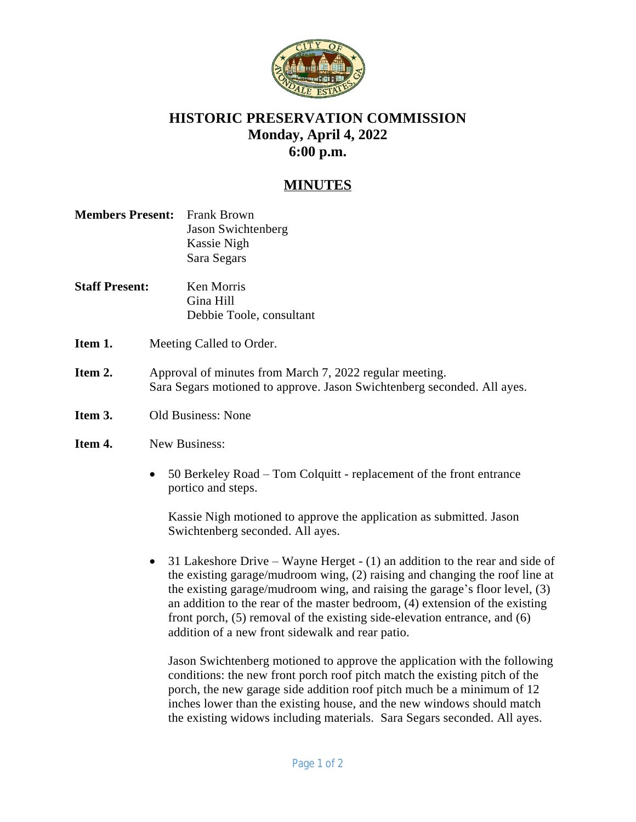

## **HISTORIC PRESERVATION COMMISSION Monday, April 4, 2022 6:00 p.m.**

## **MINUTES**

| <b>Members Present:</b> Frank Brown |                           |
|-------------------------------------|---------------------------|
|                                     | <b>Jason Swichtenberg</b> |
|                                     | Kassie Nigh               |
|                                     | Sara Segars               |

- **Staff Present:** Ken Morris Gina Hill Debbie Toole, consultant
- **Item 1.** Meeting Called to Order.
- **Item 2.** Approval of minutes from March 7, 2022 regular meeting. Sara Segars motioned to approve. Jason Swichtenberg seconded. All ayes.
- **Item 3.** Old Business: None

## **Item 4.** New Business:

 50 Berkeley Road – Tom Colquitt - replacement of the front entrance portico and steps.

Kassie Nigh motioned to approve the application as submitted. Jason Swichtenberg seconded. All ayes.

• 31 Lakeshore Drive – Wayne Herget - (1) an addition to the rear and side of the existing garage/mudroom wing, (2) raising and changing the roof line at the existing garage/mudroom wing, and raising the garage's floor level, (3) an addition to the rear of the master bedroom, (4) extension of the existing front porch, (5) removal of the existing side-elevation entrance, and (6) addition of a new front sidewalk and rear patio.

Jason Swichtenberg motioned to approve the application with the following conditions: the new front porch roof pitch match the existing pitch of the porch, the new garage side addition roof pitch much be a minimum of 12 inches lower than the existing house, and the new windows should match the existing widows including materials. Sara Segars seconded. All ayes.